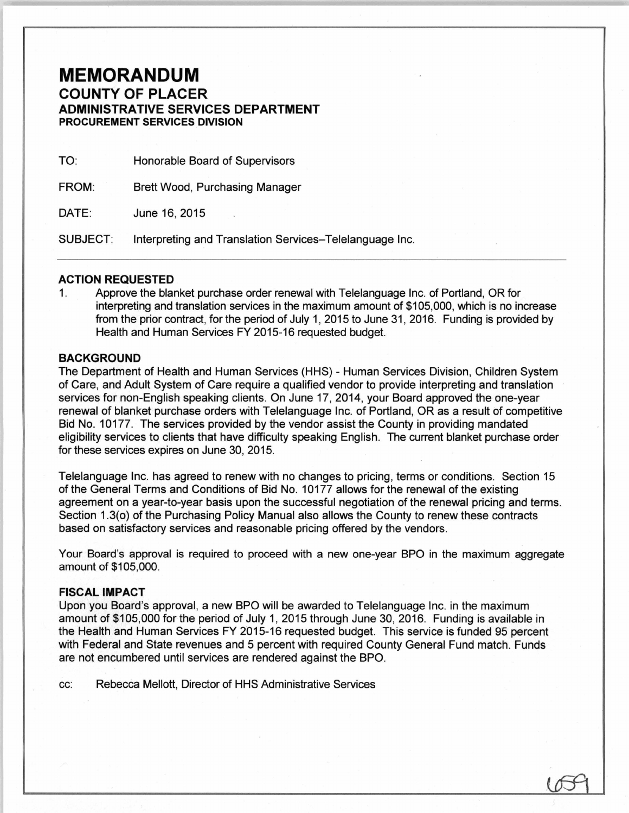## **MEMORANDUM**  COUNTY OF PLACER ADMINISTRATIVE SERVICES DEPARTMENT PROCUREMENT SERVICES DIVISION

TO: Honorable Board of Supervisors

FROM: Brett Wood, Purchasing Manager

DATE: June 16, 2015

SUBJECT: Interpreting and Translation Services-Telelanguage Inc.

## ACTION REQUESTED

1. Approve the blanket purchase order renewal with Telelanguage Inc. of Portland, OR for interpreting and translation services in the maximum amount of \$105,000, which is no increase from the prior contract, for the period of July 1, 2015 to June 31 , 2016. Funding is provided by Health and Human Services FY 2015-16 requested budget.

## **BACKGROUND**

The Department of Health and Human Services (HHS) - Human Services Division, Children System of Care, and Adult System of Care require a qualified vendor to provide interpreting and translation services for non-English speaking clients. On June 17, 2014, your Board approved the one-year renewal of blanket purchase orders with Telelanguage Inc. of Portland, OR as a result of competitive Bid No. 10177. The services provided by the vendor assist the County in providing mandated eligibility services to clients that have difficulty speaking English. The current blanket purchase order for these services expires on June 30, 2015.

Telelanguage Inc. has agreed to renew with no changes to pricing, terms or conditions. Section 15 of the General Terms and Conditions of Bid No. 10177 allows for the renewal of the existing agreement on a year-to-year basis upon the successful negotiation of the renewal pricing and terms. Section 1.3(o) of the Purchasing Policy Manual also allows the County to renew these contracts based on satisfactory services and reasonable pricing offered by the vendors.

Your Board's approval is required to proceed with a new one-year BPO in the maximum aggregate amount of \$105,000.

## FISCAL IMPACT

Upon you Board's approval, a new BPO will be awarded to Telelanguage Inc. in the maximum amount of \$105,000 for the period of July 1, 2015 through June 30, 2016. Funding is available in the Health and Human Services FY 2015-16 requested budget. This service is funded 95 percent with Federal and State revenues and 5 percent with required County General Fund match. Funds are not encumbered until services are rendered against the BPO.

cc: Rebecca Mellott, Director of HHS Administrative Services